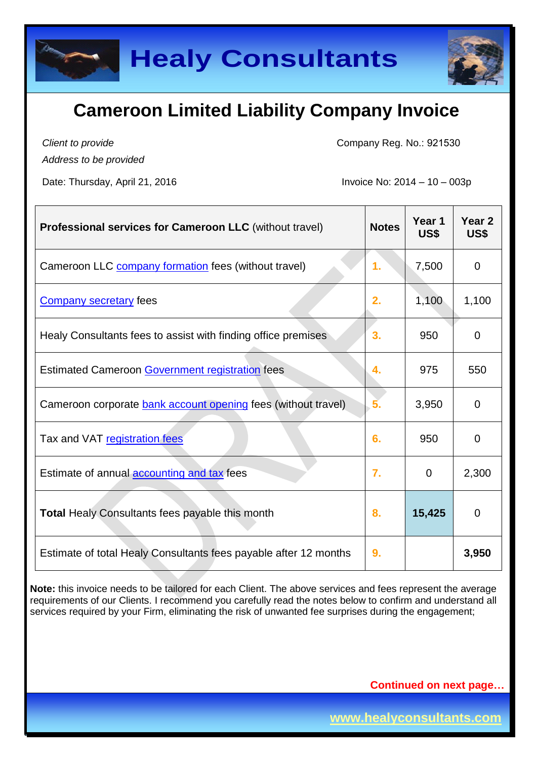

*Client to provide Address to be provided*

Company Reg. No.: 921530

Date: Thursday, April 21, 2016 **Invoice No: 2014 – 10 – 003p** 

| Professional services for Cameroon LLC (without travel)          | <b>Notes</b> | Year 1<br>US\$ | Year <sub>2</sub><br>US\$ |
|------------------------------------------------------------------|--------------|----------------|---------------------------|
| Cameroon LLC company formation fees (without travel)             | 1.           | 7,500          | $\mathbf 0$               |
| <b>Company secretary fees</b>                                    | 2.           | 1,100          | 1,100                     |
| Healy Consultants fees to assist with finding office premises    | 3.           | 950            | 0                         |
| <b>Estimated Cameroon Government registration fees</b>           | 4.           | 975            | 550                       |
| Cameroon corporate bank account opening fees (without travel)    | 5.           | 3,950          | 0                         |
| Tax and VAT registration fees                                    | 6.           | 950            | $\mathbf 0$               |
| Estimate of annual <b>accounting and tax</b> fees                | 7.           | $\overline{0}$ | 2,300                     |
| <b>Total Healy Consultants fees payable this month</b>           | 8.           | 15,425         | $\overline{0}$            |
| Estimate of total Healy Consultants fees payable after 12 months | 9.           |                | 3,950                     |

**Note:** this invoice needs to be tailored for each Client. The above services and fees represent the average requirements of our Clients. I recommend you carefully read the notes below to confirm and understand all services required by your Firm, eliminating the risk of unwanted fee surprises during the engagement;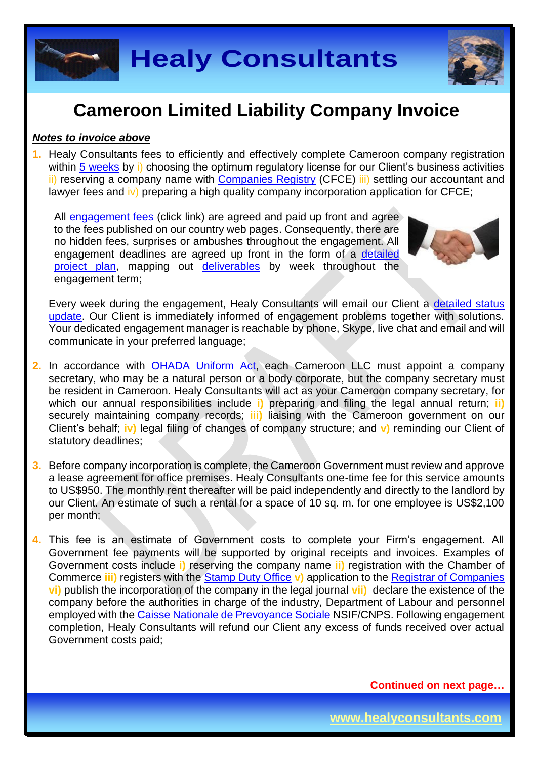

### *Notes to invoice above*

**1.** Healy Consultants fees to efficiently and effectively complete Cameroon company registration within [5 weeks](http://www.healyconsultants.com/cameroon-company-registration/fees-timelines/) by i) choosing the optimum regulatory license for our Client's business activities ii) reserving a company name with [Companies Registry](http://www.cfce.cm/) (CFCE) iii) settling our accountant and lawyer fees and iv) preparing a high quality company incorporation application for CFCE;

All [engagement fees](http://www.healyconsultants.com/company-registration-fees/) (click link) are agreed and paid up front and agree to the fees published on our country web pages. Consequently, there are no hidden fees, surprises or ambushes throughout the engagement. All engagement deadlines are agreed up front in the form of a [detailed](http://www.healyconsultants.com/index-important-links/example-project-plan/)  [project plan,](http://www.healyconsultants.com/index-important-links/example-project-plan/) mapping out [deliverables](http://www.healyconsultants.com/deliverables-to-our-clients/) by week throughout the engagement term;



Every week during the engagement, Healy Consultants will email our Client a detailed status [update.](http://www.healyconsultants.com/index-important-links/weekly-engagement-status-email/) Our Client is immediately informed of engagement problems together with solutions. Your dedicated engagement manager is reachable by phone, Skype, live chat and email and will communicate in your preferred language;

- **2.** In accordance with [OHADA Uniform Act,](http://www.juriscope.org/uploads/pdf/ohada/OHADA_en/societe-gb.pdf) each Cameroon LLC must appoint a company secretary, who may be a natural person or a body corporate, but the company secretary must be resident in Cameroon. Healy Consultants will act as your Cameroon company secretary, for which our annual responsibilities include **i)** preparing and filing the legal annual return; **ii)** securely maintaining company records; **iii)** liaising with the Cameroon government on our Client's behalf; **iv)** legal filing of changes of company structure; and **v)** reminding our Client of statutory deadlines;
- **3.** Before company incorporation is complete, the Cameroon Government must review and approve a lease agreement for office premises. Healy Consultants one-time fee for this service amounts to US\$950. The monthly rent thereafter will be paid independently and directly to the landlord by our Client. An estimate of such a rental for a space of 10 sq. m. for one employee is US\$2,100 per month;
- **4.** This fee is an estimate of Government costs to complete your Firm's engagement. All Government fee payments will be supported by original receipts and invoices. Examples of Government costs include **i)** reserving the company name **ii)** registration with the Chamber of Commerce **iii)** registers with the [Stamp Duty Office](http://www.impots.cm/?hl=en_US) **v)** application to the [Registrar of Companies](http://www.cfce.cm/) **vi)** publish the incorporation of the company in the legal journal **vii)** declare the existence of the company before the authorities in charge of the industry, Department of Labour and personnel employed with the [Caisse Nationale de Prevoyance Sociale](http://www.cnps.cm/) NSIF/CNPS. Following engagement completion, Healy Consultants will refund our Client any excess of funds received over actual Government costs paid;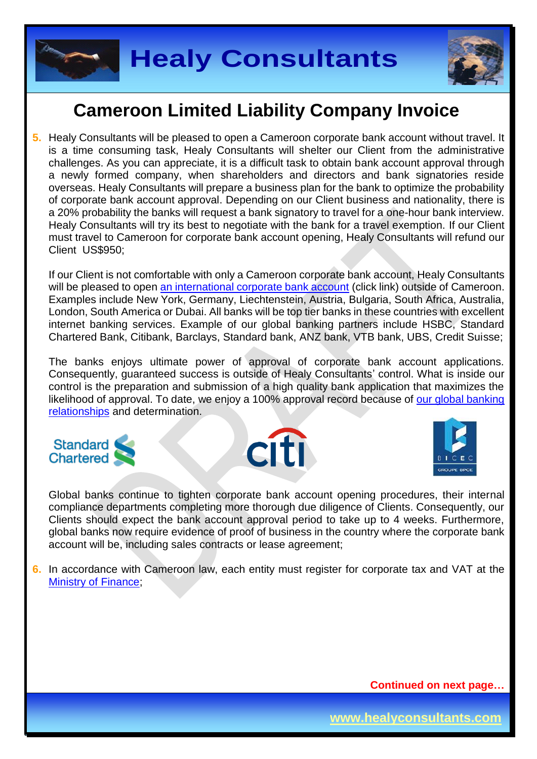

**5.** Healy Consultants will be pleased to open a Cameroon corporate bank account without travel. It is a time consuming task, Healy Consultants will shelter our Client from the administrative challenges. As you can appreciate, it is a difficult task to obtain bank account approval through a newly formed company, when shareholders and directors and bank signatories reside overseas. Healy Consultants will prepare a business plan for the bank to optimize the probability of corporate bank account approval. Depending on our Client business and nationality, there is a 20% probability the banks will request a bank signatory to travel for a one-hour bank interview. Healy Consultants will try its best to negotiate with the bank for a travel exemption. If our Client must travel to Cameroon for corporate bank account opening, Healy Consultants will refund our Client US\$950;

If our Client is not comfortable with only a Cameroon corporate bank account, Healy Consultants will be pleased to open [an international corporate bank account](http://www.healyconsultants.com/international-banking/) (click link) outside of Cameroon. Examples include New York, Germany, Liechtenstein, Austria, Bulgaria, South Africa, Australia, London, South America or Dubai. All banks will be top tier banks in these countries with excellent internet banking services. Example of our global banking partners include HSBC, Standard Chartered Bank, Citibank, Barclays, Standard bank, ANZ bank, VTB bank, UBS, Credit Suisse;

The banks enjoys ultimate power of approval of corporate bank account applications. Consequently, guaranteed success is outside of Healy Consultants' control. What is inside our control is the preparation and submission of a high quality bank application that maximizes the likelihood of approval. To date, we enjoy a 100% approval record because of our global banking [relationships](http://www.healyconsultants.com/international-banking/corporate-accounts/) and determination.







Global banks continue to tighten corporate bank account opening procedures, their internal compliance departments completing more thorough due diligence of Clients. Consequently, our Clients should expect the bank account approval period to take up to 4 weeks. Furthermore, global banks now require evidence of proof of business in the country where the corporate bank account will be, including sales contracts or lease agreement;

**6.** In accordance with Cameroon law, each entity must register for corporate tax and VAT at the [Ministry of Finance;](http://www.impots.cm/index.php?page=droits-d-enregistrement&hl=fr_FR)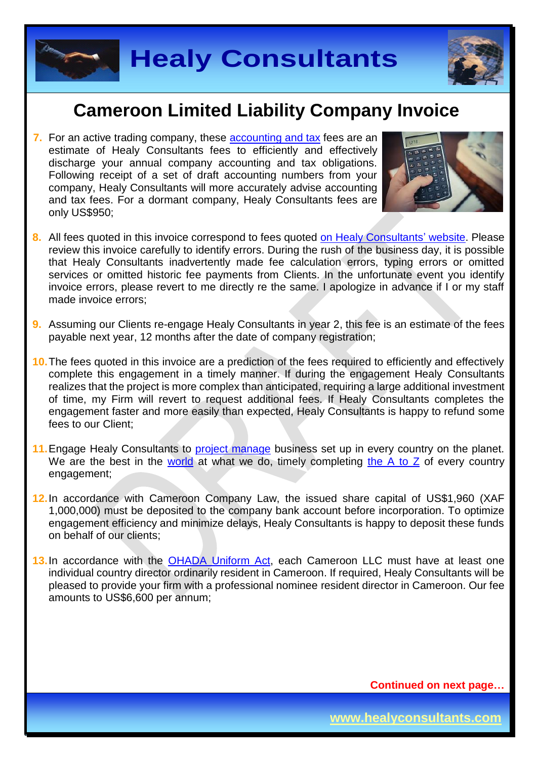

**7.** For an active trading company, these [accounting and tax](http://www.healyconsultants.com/cameroon-company-registration/accounting-legal/) fees are an estimate of Healy Consultants fees to efficiently and effectively discharge your annual company accounting and tax obligations. Following receipt of a set of draft accounting numbers from your company, Healy Consultants will more accurately advise accounting and tax fees. For a dormant company, Healy Consultants fees are only US\$950;



- **8.** All fees quoted in this invoice correspond to fees quoted [on Healy Consultants' website.](http://www.healyconsultants.com/company-registration-fees/) Please review this invoice carefully to identify errors. During the rush of the business day, it is possible that Healy Consultants inadvertently made fee calculation errors, typing errors or omitted services or omitted historic fee payments from Clients. In the unfortunate event you identify invoice errors, please revert to me directly re the same. I apologize in advance if I or my staff made invoice errors;
- **9.** Assuming our Clients re-engage Healy Consultants in year 2, this fee is an estimate of the fees payable next year, 12 months after the date of company registration;
- **10.**The fees quoted in this invoice are a prediction of the fees required to efficiently and effectively complete this engagement in a timely manner. If during the engagement Healy Consultants realizes that the project is more complex than anticipated, requiring a large additional investment of time, my Firm will revert to request additional fees. If Healy Consultants completes the engagement faster and more easily than expected, Healy Consultants is happy to refund some fees to our Client;
- 11. Engage Healy Consultants to [project manage](http://www.healyconsultants.com/project-manage-engagements/) business set up in every country on the planet. We are the best in the [world](http://www.healyconsultants.com/best-in-the-world/) at what we do, timely completing [the A to Z](http://www.healyconsultants.com/a-to-z-of-business-set-up/) of every country engagement;
- **12.**In accordance with Cameroon Company Law, the issued share capital of US\$1,960 (XAF 1,000,000) must be deposited to the company bank account before incorporation. To optimize engagement efficiency and minimize delays, Healy Consultants is happy to deposit these funds on behalf of our clients;
- **13.**In accordance with the [OHADA Uniform Act,](http://www.juriscope.org/uploads/pdf/ohada/OHADA_en/societe-gb.pdf) each Cameroon LLC must have at least one individual country director ordinarily resident in Cameroon. If required, Healy Consultants will be pleased to provide your firm with a professional nominee resident director in Cameroon. Our fee amounts to US\$6,600 per annum;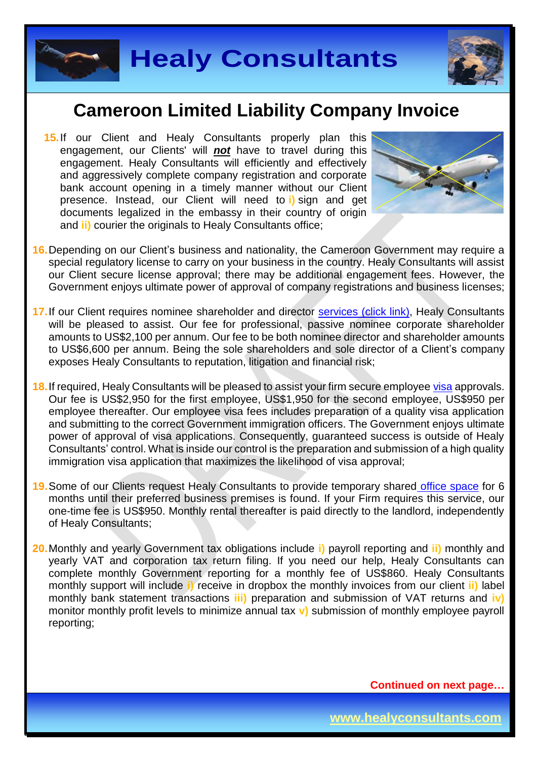

**15.** If our Client and Healy Consultants properly plan this engagement, our Clients' will *not* have to travel during this engagement. Healy Consultants will efficiently and effectively and aggressively complete company registration and corporate bank account opening in a timely manner without our Client presence. Instead, our Client will need to **i)** sign and get documents legalized in the embassy in their country of origin and **ii)** courier the originals to Healy Consultants office:



- **16.**Depending on our Client's business and nationality, the Cameroon Government may require a special regulatory license to carry on your business in the country. Healy Consultants will assist our Client secure license approval; there may be additional engagement fees. However, the Government enjoys ultimate power of approval of company registrations and business licenses;
- 17. If our Client requires nominee shareholder and director services [\(click link\),](http://www.healyconsultants.com/corporate-outsourcing-services/nominee-shareholders-directors/) Healy Consultants will be pleased to assist. Our fee for professional, passive nominee corporate shareholder amounts to US\$2,100 per annum. Our fee to be both nominee director and shareholder amounts to US\$6,600 per annum. Being the sole shareholders and sole director of a Client's company exposes Healy Consultants to reputation, litigation and financial risk;
- **18.**If required, Healy Consultants will be pleased to assist your firm secure employee [visa](http://www.visa-en-ligne.com/pays/Cameroun.php) approvals. Our fee is US\$2,950 for the first employee, US\$1,950 for the second employee, US\$950 per employee thereafter. Our employee visa fees includes preparation of a quality visa application and submitting to the correct Government immigration officers. The Government enjoys ultimate power of approval of visa applications. Consequently, guaranteed success is outside of Healy Consultants' control. What is inside our control is the preparation and submission of a high quality immigration visa application that maximizes the likelihood of visa approval;
- **19.**Some of our Clients request Healy Consultants to provide temporary shared [office space](http://www.healyconsultants.com/virtual-office/) for 6 months until their preferred business premises is found. If your Firm requires this service, our one-time fee is US\$950. Monthly rental thereafter is paid directly to the landlord, independently of Healy Consultants;
- **20.**Monthly and yearly Government tax obligations include **i)** payroll reporting and **ii)** monthly and yearly VAT and corporation tax return filing. If you need our help, Healy Consultants can complete monthly Government reporting for a monthly fee of US\$860. Healy Consultants monthly support will include **i)** receive in dropbox the monthly invoices from our client **ii)** label monthly bank statement transactions **iii)** preparation and submission of VAT returns and **iv)** monitor monthly profit levels to minimize annual tax **v)** submission of monthly employee payroll reporting;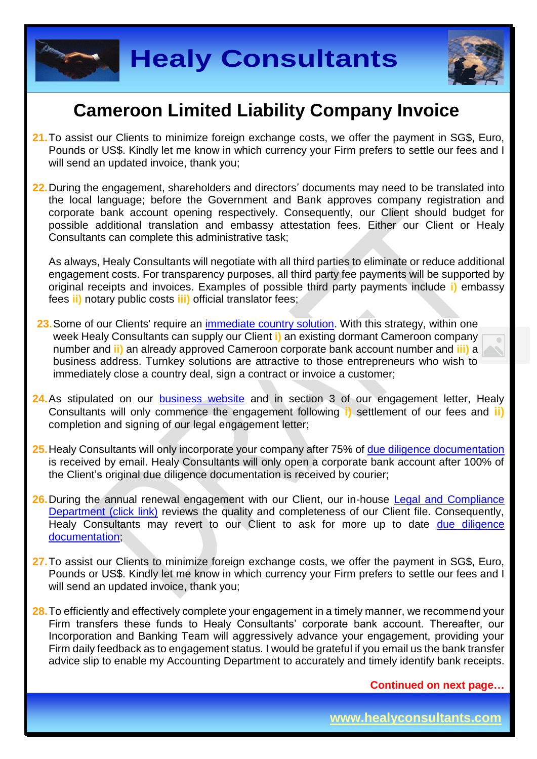



- **21.**To assist our Clients to minimize foreign exchange costs, we offer the payment in SG\$, Euro, Pounds or US\$. Kindly let me know in which currency your Firm prefers to settle our fees and I will send an updated invoice, thank you:
- **22.**During the engagement, shareholders and directors' documents may need to be translated into the local language; before the Government and Bank approves company registration and corporate bank account opening respectively. Consequently, our Client should budget for possible additional translation and embassy attestation fees. Either our Client or Healy Consultants can complete this administrative task;

As always, Healy Consultants will negotiate with all third parties to eliminate or reduce additional engagement costs. For transparency purposes, all third party fee payments will be supported by original receipts and invoices. Examples of possible third party payments include **i)** embassy fees **ii)** notary public costs **iii)** official translator fees;

- 23. Some of our Clients' require an [immediate country](http://www.healyconsultants.com/turnkey-solutions/) solution. With this strategy, within one week Healy Consultants can supply our Client **i)** an existing dormant Cameroon company number and **ii)** an already approved Cameroon corporate bank account number and **iii)** a business address. Turnkey solutions are attractive to those entrepreneurs who wish to immediately close a country deal, sign a contract or invoice a customer;
- 24. As stipulated on our [business website](http://www.healyconsultants.com/) and in section 3 of our engagement letter, Healy Consultants will only commence the engagement following **i)** settlement of our fees and **ii)** completion and signing of our legal engagement letter;
- **25.**Healy Consultants will only incorporate your company after 75% of [due diligence documentation](http://www.healyconsultants.com/due-diligence/) is received by email. Healy Consultants will only open a corporate bank account after 100% of the Client's original due diligence documentation is received by courier;
- **26.**During the annual renewal engagement with our Client, our in-house [Legal and Compliance](http://www.healyconsultants.com/about-us/key-personnel/cai-xin-profile/)  [Department \(click link\)](http://www.healyconsultants.com/about-us/key-personnel/cai-xin-profile/) reviews the quality and completeness of our Client file. Consequently, Healy Consultants may revert to our Client to ask for more up to date due diligence [documentation;](http://www.healyconsultants.com/due-diligence/)
- **27.**To assist our Clients to minimize foreign exchange costs, we offer the payment in SG\$, Euro, Pounds or US\$. Kindly let me know in which currency your Firm prefers to settle our fees and I will send an updated invoice, thank you;
- **28.**To efficiently and effectively complete your engagement in a timely manner, we recommend your Firm transfers these funds to Healy Consultants' corporate bank account. Thereafter, our Incorporation and Banking Team will aggressively advance your engagement, providing your Firm daily feedback as to engagement status. I would be grateful if you email us the bank transfer advice slip to enable my Accounting Department to accurately and timely identify bank receipts.

**Continued on next page…**

**www.healyconsultants.com**